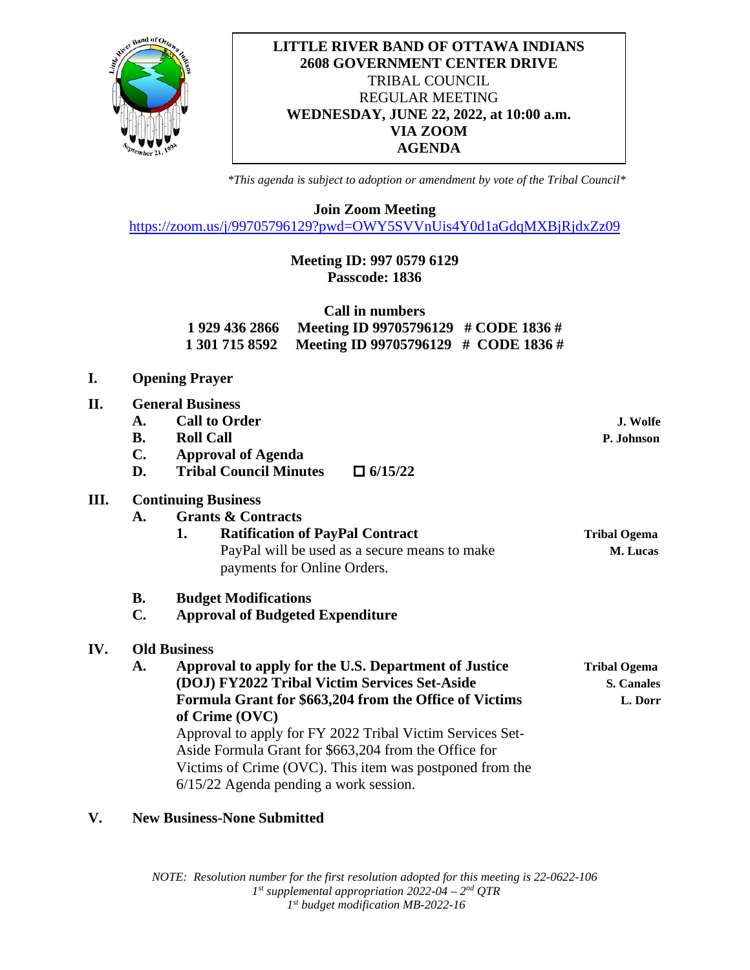

## **LITTLE RIVER BAND OF OTTAWA INDIANS 2608 GOVERNMENT CENTER DRIVE** TRIBAL COUNCIL REGULAR MEETING **WEDNESDAY, JUNE 22, 2022, at 10:00 a.m. VIA ZOOM AGENDA**

*\*This agenda is subject to adoption or amendment by vote of the Tribal Council\**

**Join Zoom Meeting**

<https://zoom.us/j/99705796129?pwd=OWY5SVVnUis4Y0d1aGdqMXBjRjdxZz09>

## **Meeting ID: 997 0579 6129 Passcode: 1836**

| Call in numbers |                                                     |  |
|-----------------|-----------------------------------------------------|--|
| 1 929 436 2866  | Meeting ID 99705796129 $\#$ CODE 1836 $\#$          |  |
|                 | 1 301 715 8592 Meeting ID 99705796129 # CODE 1836 # |  |

- **I. Opening Prayer**
- **II. General Business A. Call to Order J. Wolfe B. Roll Call P. Johnson C. Approval of Agenda D. Tribal Council Minutes**  $\Box$  **6/15/22**<br>**III.** Continuing Business **III. Continuing Business A. Grants & Contracts 1.** Ratification of PayPal Contract Tribal Ogema PayPal will be used as a secure means to make **M. Lucas** payments for Online Orders. **B. Budget Modifications C. Approval of Budgeted Expenditure**

## **IV. Old Business**

**A. Approval to apply for the U.S. Department of Justice Tribal Ogema (DOJ) FY2022 Tribal Victim Services Set-Aside S. Canales Formula Grant for \$663,204 from the Office of Victims L. Dorr of Crime (OVC)** Approval to apply for FY 2022 Tribal Victim Services Set-Aside Formula Grant for \$663,204 from the Office for Victims of Crime (OVC). This item was postponed from the 6/15/22 Agenda pending a work session.

## **V. New Business-None Submitted**

*NOTE: Resolution number for the first resolution adopted for this meeting is 22-0622-106 1st supplemental appropriation 2022-04 – 2nd QTR 1st budget modification MB-2022-16*